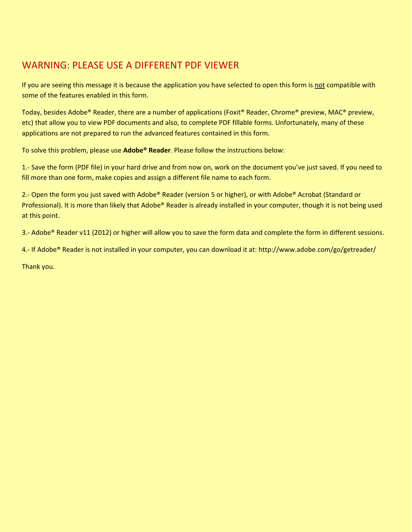## $\overline{\text{R}}$  **ORENT PDF VIEWER** fields are not are not all you are not all you are not all you are not all you are not WARNING: PLEASE USE A DIFFERENT PDF VIEWER AND DONNER IN THE DATES MANUSCRIPT OF THE DATE OF THE DATE OF THE D

**Fiscal Year** If you are seeing this message it is because the application you have selected to open this form is <u>not</u> compatible with some of the features enabled in this form.

hesides Adobe<sup>®</sup> Beader, there are a number of annications (Eovit<sup>®</sup> Beader, Chrome® preview, MAC® preview, **No. 2016.00 PM** at allow you to view PDF documents and also, to complete PDF fillable forms. Unfortunately, many of these **First Time Filer** - This form uses a 2D barcode on the first page of the form to gather all the forms Today, besides Adobe® Reader, there are a number of applications (Foxit® Reader, Chrome® preview, MAC® preview, etc) that allow you to view PDF documents and also, to complete PDF fillable forms. Unfortunately, many of these applications are not prepared to run the advanced features contained in this form.

**Do NOT Submit a Photocopy!!**  $w$  the i To solve this problem, please use **Adobe® Reader**. Please follow the instructions below:

use the document vouse just saved if you need to blem, please use **Adobe® Reader**. Please follow the instructions below:<br>(PDF file) in your hard drive and from now on, work on the document you've just saved. If you not all the first one of the first one of the first one - To mark a checkbox either click on it using your mouse pointer, or press the fill more than one form, make copies and assign a different file name to each form. 1.- Save the form (PDF file) in your hard drive and from now on, work on the document you've just saved. If you need to

**• TTACH CHECK OR MONEY ORDER HERE • • ATTACH COPY 2 OF FORM W-2 HERE •** Professional). It is more than likely that Adobe® Reader is already installed in your computer, though it is not being used<br>at this point.<br>3.- Adobe® Reader v11 (2012) or higher will allow you to save the form data and com 2.- Open the form you just saved with Adobe® Reader (version 5 or higher), or with Adobe® Acrobat (Standard or  $\mathsf{a}$ t this point. Spouse's Last Name Suffix Name Suffix Name Suffix Name Suffix Name Suffix Name Suffix Name

3.- Adobe® Reader v11 (2012) or higher will allow you to save the form data and complete the form in different sessions. Security Number

4.- If Adobe® Reader is not installed in your computer, you can download it at: http://www.adobe.com/go/getreader/

 $\overline{\text{Thank}}$  you. Thank you address (Number and street, including Rural Route)